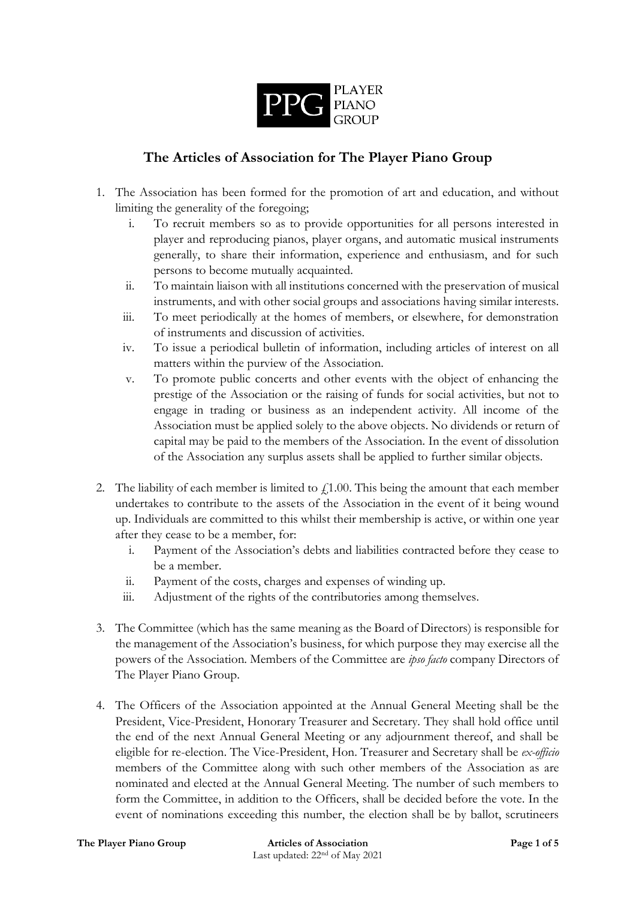

## **The Articles of Association for The Player Piano Group**

- 1. The Association has been formed for the promotion of art and education, and without limiting the generality of the foregoing;
	- i. To recruit members so as to provide opportunities for all persons interested in player and reproducing pianos, player organs, and automatic musical instruments generally, to share their information, experience and enthusiasm, and for such persons to become mutually acquainted.
	- ii. To maintain liaison with all institutions concerned with the preservation of musical instruments, and with other social groups and associations having similar interests.
	- iii. To meet periodically at the homes of members, or elsewhere, for demonstration of instruments and discussion of activities.
	- iv. To issue a periodical bulletin of information, including articles of interest on all matters within the purview of the Association.
	- v. To promote public concerts and other events with the object of enhancing the prestige of the Association or the raising of funds for social activities, but not to engage in trading or business as an independent activity. All income of the Association must be applied solely to the above objects. No dividends or return of capital may be paid to the members of the Association. In the event of dissolution of the Association any surplus assets shall be applied to further similar objects.
- 2. The liability of each member is limited to  $\ell$ 1.00. This being the amount that each member undertakes to contribute to the assets of the Association in the event of it being wound up. Individuals are committed to this whilst their membership is active, or within one year after they cease to be a member, for:
	- i. Payment of the Association's debts and liabilities contracted before they cease to be a member.
	- ii. Payment of the costs, charges and expenses of winding up.
	- iii. Adjustment of the rights of the contributories among themselves.
- 3. The Committee (which has the same meaning as the Board of Directors) is responsible for the management of the Association's business, for which purpose they may exercise all the powers of the Association. Members of the Committee are *ipso facto* company Directors of The Player Piano Group.
- 4. The Officers of the Association appointed at the Annual General Meeting shall be the President, Vice-President, Honorary Treasurer and Secretary. They shall hold office until the end of the next Annual General Meeting or any adjournment thereof, and shall be eligible for re-election. The Vice-President, Hon. Treasurer and Secretary shall be *ex-officio* members of the Committee along with such other members of the Association as are nominated and elected at the Annual General Meeting. The number of such members to form the Committee, in addition to the Officers, shall be decided before the vote. In the event of nominations exceeding this number, the election shall be by ballot, scrutineers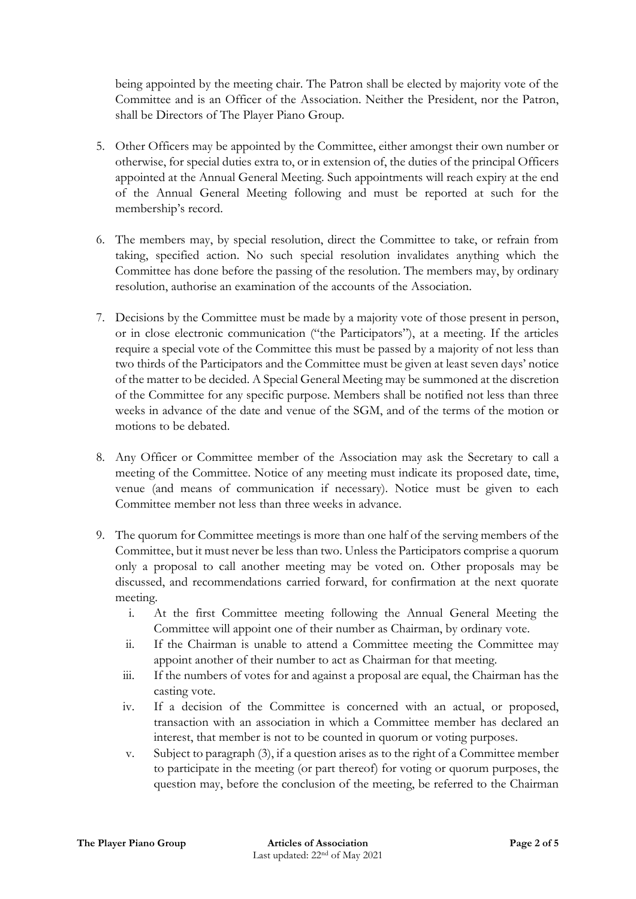being appointed by the meeting chair. The Patron shall be elected by majority vote of the Committee and is an Officer of the Association. Neither the President, nor the Patron, shall be Directors of The Player Piano Group.

- 5. Other Officers may be appointed by the Committee, either amongst their own number or otherwise, for special duties extra to, or in extension of, the duties of the principal Officers appointed at the Annual General Meeting. Such appointments will reach expiry at the end of the Annual General Meeting following and must be reported at such for the membership's record.
- 6. The members may, by special resolution, direct the Committee to take, or refrain from taking, specified action. No such special resolution invalidates anything which the Committee has done before the passing of the resolution. The members may, by ordinary resolution, authorise an examination of the accounts of the Association.
- 7. Decisions by the Committee must be made by a majority vote of those present in person, or in close electronic communication ("the Participators"), at a meeting. If the articles require a special vote of the Committee this must be passed by a majority of not less than two thirds of the Participators and the Committee must be given at least seven days' notice of the matter to be decided. A Special General Meeting may be summoned at the discretion of the Committee for any specific purpose. Members shall be notified not less than three weeks in advance of the date and venue of the SGM, and of the terms of the motion or motions to be debated.
- 8. Any Officer or Committee member of the Association may ask the Secretary to call a meeting of the Committee. Notice of any meeting must indicate its proposed date, time, venue (and means of communication if necessary). Notice must be given to each Committee member not less than three weeks in advance.
- 9. The quorum for Committee meetings is more than one half of the serving members of the Committee, but it must never be less than two. Unless the Participators comprise a quorum only a proposal to call another meeting may be voted on. Other proposals may be discussed, and recommendations carried forward, for confirmation at the next quorate meeting.
	- i. At the first Committee meeting following the Annual General Meeting the Committee will appoint one of their number as Chairman, by ordinary vote.
	- ii. If the Chairman is unable to attend a Committee meeting the Committee may appoint another of their number to act as Chairman for that meeting.
	- iii. If the numbers of votes for and against a proposal are equal, the Chairman has the casting vote.
	- iv. If a decision of the Committee is concerned with an actual, or proposed, transaction with an association in which a Committee member has declared an interest, that member is not to be counted in quorum or voting purposes.
	- v. Subject to paragraph (3), if a question arises as to the right of a Committee member to participate in the meeting (or part thereof) for voting or quorum purposes, the question may, before the conclusion of the meeting, be referred to the Chairman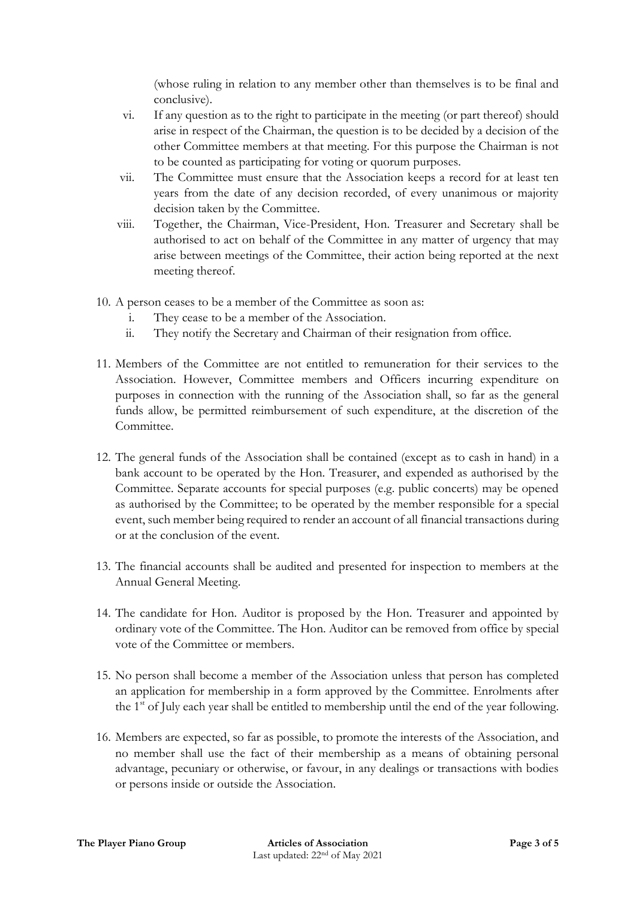(whose ruling in relation to any member other than themselves is to be final and conclusive).

- vi. If any question as to the right to participate in the meeting (or part thereof) should arise in respect of the Chairman, the question is to be decided by a decision of the other Committee members at that meeting. For this purpose the Chairman is not to be counted as participating for voting or quorum purposes.
- vii. The Committee must ensure that the Association keeps a record for at least ten years from the date of any decision recorded, of every unanimous or majority decision taken by the Committee.
- viii. Together, the Chairman, Vice-President, Hon. Treasurer and Secretary shall be authorised to act on behalf of the Committee in any matter of urgency that may arise between meetings of the Committee, their action being reported at the next meeting thereof.
- 10. A person ceases to be a member of the Committee as soon as:
	- i. They cease to be a member of the Association.
	- ii. They notify the Secretary and Chairman of their resignation from office.
- 11. Members of the Committee are not entitled to remuneration for their services to the Association. However, Committee members and Officers incurring expenditure on purposes in connection with the running of the Association shall, so far as the general funds allow, be permitted reimbursement of such expenditure, at the discretion of the Committee.
- 12. The general funds of the Association shall be contained (except as to cash in hand) in a bank account to be operated by the Hon. Treasurer, and expended as authorised by the Committee. Separate accounts for special purposes (e.g. public concerts) may be opened as authorised by the Committee; to be operated by the member responsible for a special event, such member being required to render an account of all financial transactions during or at the conclusion of the event.
- 13. The financial accounts shall be audited and presented for inspection to members at the Annual General Meeting.
- 14. The candidate for Hon. Auditor is proposed by the Hon. Treasurer and appointed by ordinary vote of the Committee. The Hon. Auditor can be removed from office by special vote of the Committee or members.
- 15. No person shall become a member of the Association unless that person has completed an application for membership in a form approved by the Committee. Enrolments after the  $1<sup>st</sup>$  of July each year shall be entitled to membership until the end of the year following.
- 16. Members are expected, so far as possible, to promote the interests of the Association, and no member shall use the fact of their membership as a means of obtaining personal advantage, pecuniary or otherwise, or favour, in any dealings or transactions with bodies or persons inside or outside the Association.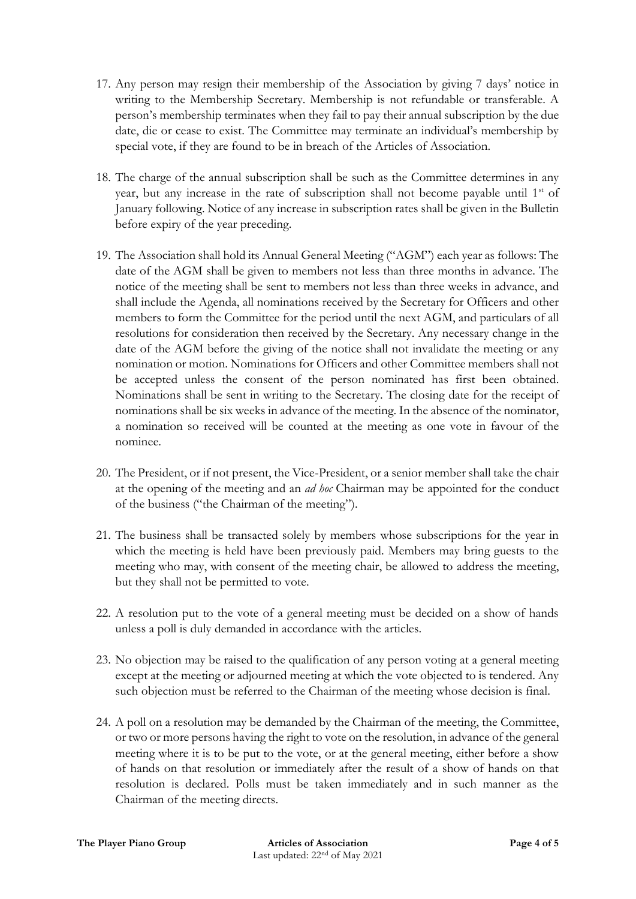- 17. Any person may resign their membership of the Association by giving 7 days' notice in writing to the Membership Secretary. Membership is not refundable or transferable. A person's membership terminates when they fail to pay their annual subscription by the due date, die or cease to exist. The Committee may terminate an individual's membership by special vote, if they are found to be in breach of the Articles of Association.
- 18. The charge of the annual subscription shall be such as the Committee determines in any year, but any increase in the rate of subscription shall not become payable until  $1<sup>st</sup>$  of January following. Notice of any increase in subscription rates shall be given in the Bulletin before expiry of the year preceding.
- 19. The Association shall hold its Annual General Meeting ("AGM") each year as follows: The date of the AGM shall be given to members not less than three months in advance. The notice of the meeting shall be sent to members not less than three weeks in advance, and shall include the Agenda, all nominations received by the Secretary for Officers and other members to form the Committee for the period until the next AGM, and particulars of all resolutions for consideration then received by the Secretary. Any necessary change in the date of the AGM before the giving of the notice shall not invalidate the meeting or any nomination or motion. Nominations for Officers and other Committee members shall not be accepted unless the consent of the person nominated has first been obtained. Nominations shall be sent in writing to the Secretary. The closing date for the receipt of nominations shall be six weeks in advance of the meeting. In the absence of the nominator, a nomination so received will be counted at the meeting as one vote in favour of the nominee.
- 20. The President, or if not present, the Vice-President, or a senior member shall take the chair at the opening of the meeting and an *ad hoc* Chairman may be appointed for the conduct of the business ("the Chairman of the meeting").
- 21. The business shall be transacted solely by members whose subscriptions for the year in which the meeting is held have been previously paid. Members may bring guests to the meeting who may, with consent of the meeting chair, be allowed to address the meeting, but they shall not be permitted to vote.
- 22. A resolution put to the vote of a general meeting must be decided on a show of hands unless a poll is duly demanded in accordance with the articles.
- 23. No objection may be raised to the qualification of any person voting at a general meeting except at the meeting or adjourned meeting at which the vote objected to is tendered. Any such objection must be referred to the Chairman of the meeting whose decision is final.
- 24. A poll on a resolution may be demanded by the Chairman of the meeting, the Committee, or two or more persons having the right to vote on the resolution, in advance of the general meeting where it is to be put to the vote, or at the general meeting, either before a show of hands on that resolution or immediately after the result of a show of hands on that resolution is declared. Polls must be taken immediately and in such manner as the Chairman of the meeting directs.